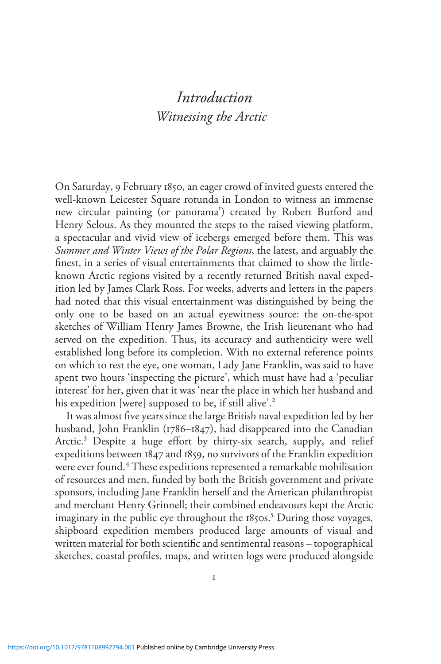# Introduction Witnessing the Arctic

On Saturday, 9 February 1850, an eager crowd of invited guests entered the well-known Leicester Square rotunda in London to witness an immense new circular painting (or panorama<sup>1</sup>) created by Robert Burford and Henry Selous. As they mounted the steps to the raised viewing platform, a spectacular and vivid view of icebergs emerged before them. This was Summer and Winter Views of the Polar Regions, the latest, and arguably the finest, in a series of visual entertainments that claimed to show the littleknown Arctic regions visited by a recently returned British naval expedition led by James Clark Ross. For weeks, adverts and letters in the papers had noted that this visual entertainment was distinguished by being the only one to be based on an actual eyewitness source: the on-the-spot sketches of William Henry James Browne, the Irish lieutenant who had served on the expedition. Thus, its accuracy and authenticity were well established long before its completion. With no external reference points on which to rest the eye, one woman, Lady Jane Franklin, was said to have spent two hours 'inspecting the picture', which must have had a 'peculiar interest' for her, given that it was 'near the place in which her husband and his expedition [were] supposed to be, if still alive'.<sup>2</sup>

It was almost five years since the large British naval expedition led by her husband, John Franklin (1786–1847), had disappeared into the Canadian Arctic.<sup>3</sup> Despite a huge effort by thirty-six search, supply, and relief expeditions between 1847 and 1859, no survivors of the Franklin expedition were ever found.<sup>4</sup> These expeditions represented a remarkable mobilisation of resources and men, funded by both the British government and private sponsors, including Jane Franklin herself and the American philanthropist and merchant Henry Grinnell; their combined endeavours kept the Arctic imaginary in the public eye throughout the 1850s.<sup>5</sup> During those voyages, shipboard expedition members produced large amounts of visual and written material for both scientific and sentimental reasons – topographical sketches, coastal profiles, maps, and written logs were produced alongside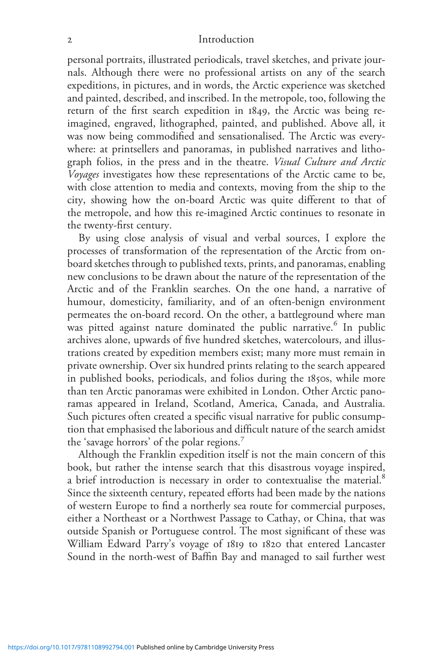personal portraits, illustrated periodicals, travel sketches, and private journals. Although there were no professional artists on any of the search expeditions, in pictures, and in words, the Arctic experience was sketched and painted, described, and inscribed. In the metropole, too, following the return of the first search expedition in 1849, the Arctic was being reimagined, engraved, lithographed, painted, and published. Above all, it was now being commodified and sensationalised. The Arctic was everywhere: at printsellers and panoramas, in published narratives and lithograph folios, in the press and in the theatre. Visual Culture and Arctic Voyages investigates how these representations of the Arctic came to be, with close attention to media and contexts, moving from the ship to the city, showing how the on-board Arctic was quite different to that of the metropole, and how this re-imagined Arctic continues to resonate in the twenty-first century.

By using close analysis of visual and verbal sources, I explore the processes of transformation of the representation of the Arctic from onboard sketches through to published texts, prints, and panoramas, enabling new conclusions to be drawn about the nature of the representation of the Arctic and of the Franklin searches. On the one hand, a narrative of humour, domesticity, familiarity, and of an often-benign environment permeates the on-board record. On the other, a battleground where man was pitted against nature dominated the public narrative.<sup>6</sup> In public archives alone, upwards of five hundred sketches, watercolours, and illustrations created by expedition members exist; many more must remain in private ownership. Over six hundred prints relating to the search appeared in published books, periodicals, and folios during the 1850s, while more than ten Arctic panoramas were exhibited in London. Other Arctic panoramas appeared in Ireland, Scotland, America, Canada, and Australia. Such pictures often created a specific visual narrative for public consumption that emphasised the laborious and difficult nature of the search amidst the 'savage horrors' of the polar regions.<sup>7</sup>

Although the Franklin expedition itself is not the main concern of this book, but rather the intense search that this disastrous voyage inspired, a brief introduction is necessary in order to contextualise the material.<sup>8</sup> Since the sixteenth century, repeated efforts had been made by the nations of western Europe to find a northerly sea route for commercial purposes, either a Northeast or a Northwest Passage to Cathay, or China, that was outside Spanish or Portuguese control. The most significant of these was William Edward Parry's voyage of 1819 to 1820 that entered Lancaster Sound in the north-west of Baffin Bay and managed to sail further west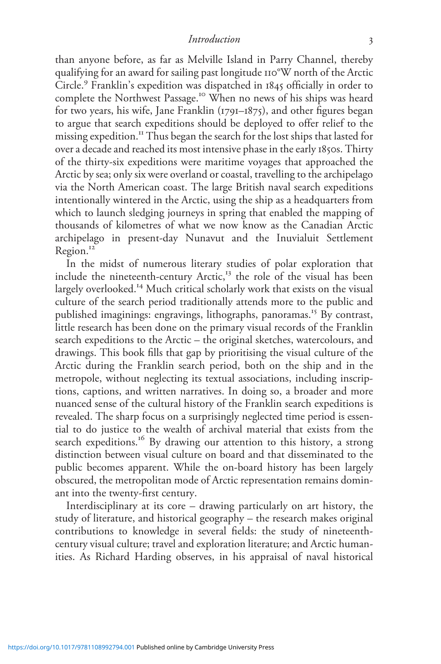than anyone before, as far as Melville Island in Parry Channel, thereby qualifying for an award for sailing past longitude 110°W north of the Arctic Circle.<sup>9</sup> Franklin's expedition was dispatched in 1845 officially in order to complete the Northwest Passage.<sup>10</sup> When no news of his ships was heard for two years, his wife, Jane Franklin (1791–1875), and other figures began to argue that search expeditions should be deployed to offer relief to the missing expedition.<sup>11</sup> Thus began the search for the lost ships that lasted for over a decade and reached its most intensive phase in the early 1850s. Thirty of the thirty-six expeditions were maritime voyages that approached the Arctic by sea; only six were overland or coastal, travelling to the archipelago via the North American coast. The large British naval search expeditions intentionally wintered in the Arctic, using the ship as a headquarters from which to launch sledging journeys in spring that enabled the mapping of thousands of kilometres of what we now know as the Canadian Arctic archipelago in present-day Nunavut and the Inuvialuit Settlement Region.<sup>12</sup>

In the midst of numerous literary studies of polar exploration that include the nineteenth-century  $Arctic$ ,<sup>13</sup> the role of the visual has been largely overlooked.<sup>14</sup> Much critical scholarly work that exists on the visual culture of the search period traditionally attends more to the public and published imaginings: engravings, lithographs, panoramas.<sup>15</sup> By contrast, little research has been done on the primary visual records of the Franklin search expeditions to the Arctic – the original sketches, watercolours, and drawings. This book fills that gap by prioritising the visual culture of the Arctic during the Franklin search period, both on the ship and in the metropole, without neglecting its textual associations, including inscriptions, captions, and written narratives. In doing so, a broader and more nuanced sense of the cultural history of the Franklin search expeditions is revealed. The sharp focus on a surprisingly neglected time period is essential to do justice to the wealth of archival material that exists from the search expeditions.<sup>16</sup> By drawing our attention to this history, a strong distinction between visual culture on board and that disseminated to the public becomes apparent. While the on-board history has been largely obscured, the metropolitan mode of Arctic representation remains dominant into the twenty-first century.

Interdisciplinary at its core – drawing particularly on art history, the study of literature, and historical geography – the research makes original contributions to knowledge in several fields: the study of nineteenthcentury visual culture; travel and exploration literature; and Arctic humanities. As Richard Harding observes, in his appraisal of naval historical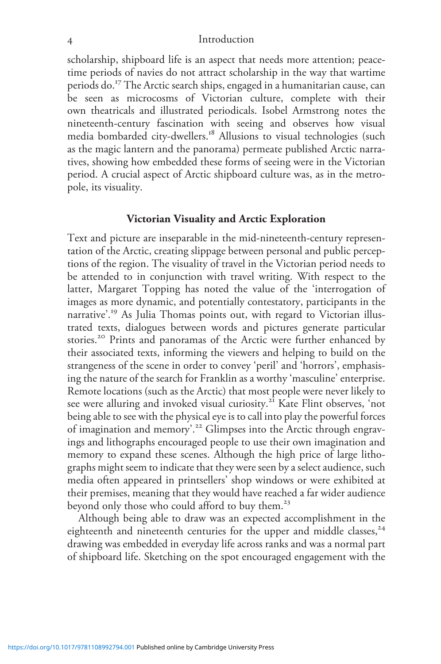scholarship, shipboard life is an aspect that needs more attention; peacetime periods of navies do not attract scholarship in the way that wartime periods do.<sup>17</sup> The Arctic search ships, engaged in a humanitarian cause, can be seen as microcosms of Victorian culture, complete with their own theatricals and illustrated periodicals. Isobel Armstrong notes the nineteenth-century fascination with seeing and observes how visual media bombarded city-dwellers.<sup>18</sup> Allusions to visual technologies (such as the magic lantern and the panorama) permeate published Arctic narratives, showing how embedded these forms of seeing were in the Victorian period. A crucial aspect of Arctic shipboard culture was, as in the metropole, its visuality.

## Victorian Visuality and Arctic Exploration

Text and picture are inseparable in the mid-nineteenth-century representation of the Arctic, creating slippage between personal and public perceptions of the region. The visuality of travel in the Victorian period needs to be attended to in conjunction with travel writing. With respect to the latter, Margaret Topping has noted the value of the 'interrogation of images as more dynamic, and potentially contestatory, participants in the narrative'. <sup>19</sup> As Julia Thomas points out, with regard to Victorian illustrated texts, dialogues between words and pictures generate particular stories.<sup>20</sup> Prints and panoramas of the Arctic were further enhanced by their associated texts, informing the viewers and helping to build on the strangeness of the scene in order to convey 'peril' and 'horrors', emphasising the nature of the search for Franklin as a worthy 'masculine' enterprise. Remote locations (such as the Arctic) that most people were never likely to see were alluring and invoked visual curiosity.<sup>21</sup> Kate Flint observes, 'not being able to see with the physical eye is to call into play the powerful forces of imagination and memory'. <sup>22</sup> Glimpses into the Arctic through engravings and lithographs encouraged people to use their own imagination and memory to expand these scenes. Although the high price of large lithographs might seem to indicate that they were seen by a select audience, such media often appeared in printsellers' shop windows or were exhibited at their premises, meaning that they would have reached a far wider audience beyond only those who could afford to buy them.<sup>23</sup>

Although being able to draw was an expected accomplishment in the eighteenth and nineteenth centuries for the upper and middle classes,  $24$ drawing was embedded in everyday life across ranks and was a normal part of shipboard life. Sketching on the spot encouraged engagement with the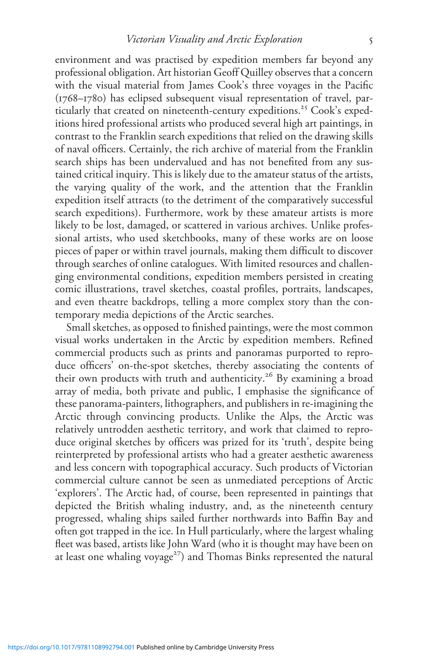environment and was practised by expedition members far beyond any professional obligation. Art historian Geoff Quilley observes that a concern with the visual material from James Cook's three voyages in the Pacific (1768–1780) has eclipsed subsequent visual representation of travel, particularly that created on nineteenth-century expeditions.<sup>25</sup> Cook's expeditions hired professional artists who produced several high art paintings, in contrast to the Franklin search expeditions that relied on the drawing skills of naval officers. Certainly, the rich archive of material from the Franklin search ships has been undervalued and has not benefited from any sustained critical inquiry. This is likely due to the amateur status of the artists, the varying quality of the work, and the attention that the Franklin expedition itself attracts (to the detriment of the comparatively successful search expeditions). Furthermore, work by these amateur artists is more likely to be lost, damaged, or scattered in various archives. Unlike professional artists, who used sketchbooks, many of these works are on loose pieces of paper or within travel journals, making them difficult to discover through searches of online catalogues. With limited resources and challenging environmental conditions, expedition members persisted in creating comic illustrations, travel sketches, coastal profiles, portraits, landscapes, and even theatre backdrops, telling a more complex story than the contemporary media depictions of the Arctic searches.

Small sketches, as opposed to finished paintings, were the most common visual works undertaken in the Arctic by expedition members. Refined commercial products such as prints and panoramas purported to reproduce officers' on-the-spot sketches, thereby associating the contents of their own products with truth and authenticity.<sup>26</sup> By examining a broad array of media, both private and public, I emphasise the significance of these panorama-painters, lithographers, and publishers in re-imagining the Arctic through convincing products. Unlike the Alps, the Arctic was relatively untrodden aesthetic territory, and work that claimed to reproduce original sketches by officers was prized for its 'truth', despite being reinterpreted by professional artists who had a greater aesthetic awareness and less concern with topographical accuracy. Such products of Victorian commercial culture cannot be seen as unmediated perceptions of Arctic 'explorers'. The Arctic had, of course, been represented in paintings that depicted the British whaling industry, and, as the nineteenth century progressed, whaling ships sailed further northwards into Baffin Bay and often got trapped in the ice. In Hull particularly, where the largest whaling fleet was based, artists like John Ward (who it is thought may have been on at least one whaling voyage<sup>27</sup>) and Thomas Binks represented the natural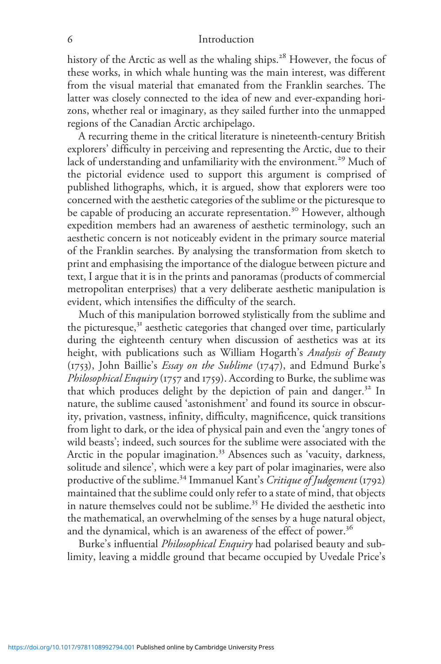history of the Arctic as well as the whaling ships.<sup>28</sup> However, the focus of these works, in which whale hunting was the main interest, was different from the visual material that emanated from the Franklin searches. The latter was closely connected to the idea of new and ever-expanding horizons, whether real or imaginary, as they sailed further into the unmapped regions of the Canadian Arctic archipelago.

A recurring theme in the critical literature is nineteenth-century British explorers' difficulty in perceiving and representing the Arctic, due to their lack of understanding and unfamiliarity with the environment.<sup>29</sup> Much of the pictorial evidence used to support this argument is comprised of published lithographs, which, it is argued, show that explorers were too concerned with the aesthetic categories of the sublime or the picturesque to be capable of producing an accurate representation.<sup>30</sup> However, although expedition members had an awareness of aesthetic terminology, such an aesthetic concern is not noticeably evident in the primary source material of the Franklin searches. By analysing the transformation from sketch to print and emphasising the importance of the dialogue between picture and text, I argue that it is in the prints and panoramas (products of commercial metropolitan enterprises) that a very deliberate aesthetic manipulation is evident, which intensifies the difficulty of the search.

Much of this manipulation borrowed stylistically from the sublime and the picturesque,<sup>31</sup> aesthetic categories that changed over time, particularly during the eighteenth century when discussion of aesthetics was at its height, with publications such as William Hogarth's Analysis of Beauty  $(1753)$ , John Baillie's *Essay on the Sublime*  $(1747)$ , and Edmund Burke's Philosophical Enquiry (1757 and 1759). According to Burke, the sublime was that which produces delight by the depiction of pain and danger.<sup>32</sup> In nature, the sublime caused 'astonishment' and found its source in obscurity, privation, vastness, infinity, difficulty, magnificence, quick transitions from light to dark, or the idea of physical pain and even the 'angry tones of wild beasts'; indeed, such sources for the sublime were associated with the Arctic in the popular imagination.<sup>33</sup> Absences such as 'vacuity, darkness, solitude and silence', which were a key part of polar imaginaries, were also productive of the sublime.<sup>34</sup> Immanuel Kant's Critique of Judgement (1792) maintained that the sublime could only refer to a state of mind, that objects in nature themselves could not be sublime.<sup>35</sup> He divided the aesthetic into the mathematical, an overwhelming of the senses by a huge natural object, and the dynamical, which is an awareness of the effect of power.<sup>36</sup>

Burke's influential Philosophical Enquiry had polarised beauty and sublimity, leaving a middle ground that became occupied by Uvedale Price's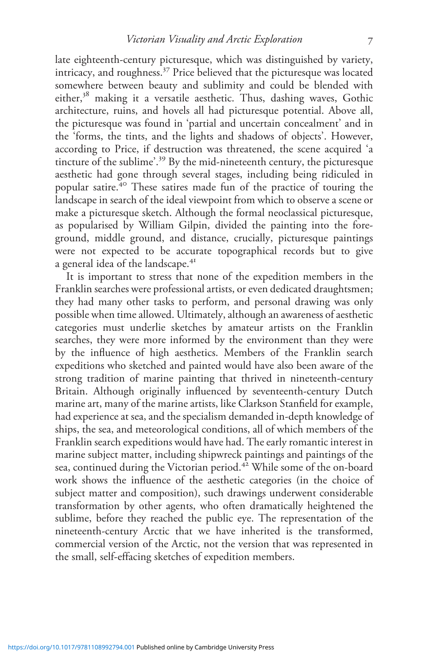late eighteenth-century picturesque, which was distinguished by variety, intricacy, and roughness.<sup>37</sup> Price believed that the picturesque was located somewhere between beauty and sublimity and could be blended with either,<sup>38</sup> making it a versatile aesthetic. Thus, dashing waves, Gothic architecture, ruins, and hovels all had picturesque potential. Above all, the picturesque was found in 'partial and uncertain concealment' and in the 'forms, the tints, and the lights and shadows of objects'. However, according to Price, if destruction was threatened, the scene acquired 'a tincture of the sublime'. <sup>39</sup> By the mid-nineteenth century, the picturesque aesthetic had gone through several stages, including being ridiculed in popular satire.<sup>40</sup> These satires made fun of the practice of touring the landscape in search of the ideal viewpoint from which to observe a scene or make a picturesque sketch. Although the formal neoclassical picturesque, as popularised by William Gilpin, divided the painting into the foreground, middle ground, and distance, crucially, picturesque paintings were not expected to be accurate topographical records but to give a general idea of the landscape.<sup>41</sup>

It is important to stress that none of the expedition members in the Franklin searches were professional artists, or even dedicated draughtsmen; they had many other tasks to perform, and personal drawing was only possible when time allowed. Ultimately, although an awareness of aesthetic categories must underlie sketches by amateur artists on the Franklin searches, they were more informed by the environment than they were by the influence of high aesthetics. Members of the Franklin search expeditions who sketched and painted would have also been aware of the strong tradition of marine painting that thrived in nineteenth-century Britain. Although originally influenced by seventeenth-century Dutch marine art, many of the marine artists, like Clarkson Stanfield for example, had experience at sea, and the specialism demanded in-depth knowledge of ships, the sea, and meteorological conditions, all of which members of the Franklin search expeditions would have had. The early romantic interest in marine subject matter, including shipwreck paintings and paintings of the sea, continued during the Victorian period.<sup>42</sup> While some of the on-board work shows the influence of the aesthetic categories (in the choice of subject matter and composition), such drawings underwent considerable transformation by other agents, who often dramatically heightened the sublime, before they reached the public eye. The representation of the nineteenth-century Arctic that we have inherited is the transformed, commercial version of the Arctic, not the version that was represented in the small, self-effacing sketches of expedition members.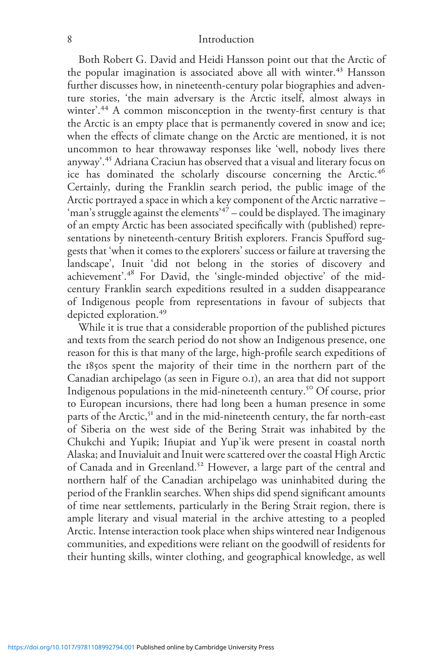Both Robert G. David and Heidi Hansson point out that the Arctic of the popular imagination is associated above all with winter.<sup>43</sup> Hansson further discusses how, in nineteenth-century polar biographies and adventure stories, 'the main adversary is the Arctic itself, almost always in winter'. <sup>44</sup> A common misconception in the twenty-first century is that the Arctic is an empty place that is permanently covered in snow and ice; when the effects of climate change on the Arctic are mentioned, it is not uncommon to hear throwaway responses like 'well, nobody lives there anyway'. <sup>45</sup> Adriana Craciun has observed that a visual and literary focus on ice has dominated the scholarly discourse concerning the Arctic.<sup>46</sup> Certainly, during the Franklin search period, the public image of the Arctic portrayed a space in which a key component of the Arctic narrative – 'man's struggle against the elements' <sup>47</sup> – could be displayed. The imaginary of an empty Arctic has been associated specifically with (published) representations by nineteenth-century British explorers. Francis Spufford suggests that 'when it comes to the explorers' success or failure at traversing the landscape', Inuit 'did not belong in the stories of discovery and achievement'.<sup>48</sup> For David, the 'single-minded objective' of the midcentury Franklin search expeditions resulted in a sudden disappearance of Indigenous people from representations in favour of subjects that depicted exploration.<sup>49</sup>

While it is true that a considerable proportion of the published pictures and texts from the search period do not show an Indigenous presence, one reason for this is that many of the large, high-profile search expeditions of the 1850s spent the majority of their time in the northern part of the Canadian archipelago (as seen in Figure 0.1), an area that did not support Indigenous populations in the mid-nineteenth century.<sup>50</sup> Of course, prior to European incursions, there had long been a human presence in some parts of the Arctic,<sup>51</sup> and in the mid-nineteenth century, the far north-east of Siberia on the west side of the Bering Strait was inhabited by the Chukchi and Yupik; Iñupiat and Yup'ik were present in coastal north Alaska; and Inuvialuit and Inuit were scattered over the coastal High Arctic of Canada and in Greenland.<sup>52</sup> However, a large part of the central and northern half of the Canadian archipelago was uninhabited during the period of the Franklin searches. When ships did spend significant amounts of time near settlements, particularly in the Bering Strait region, there is ample literary and visual material in the archive attesting to a peopled Arctic. Intense interaction took place when ships wintered near Indigenous communities, and expeditions were reliant on the goodwill of residents for their hunting skills, winter clothing, and geographical knowledge, as well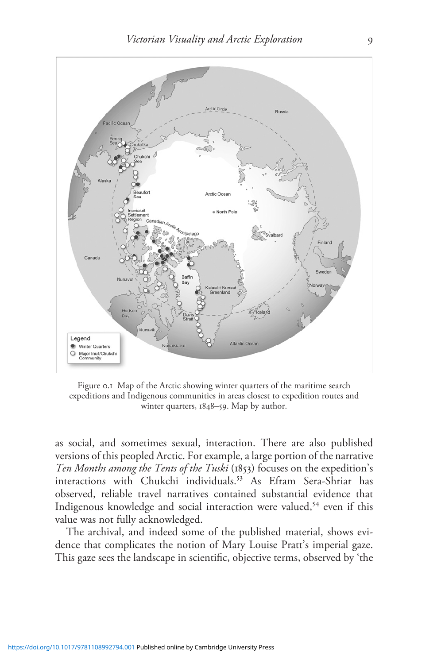

Figure 0.1 Map of the Arctic showing winter quarters of the maritime search expeditions and Indigenous communities in areas closest to expedition routes and winter quarters, 1848–59. Map by author.

as social, and sometimes sexual, interaction. There are also published versions of this peopled Arctic. For example, a large portion of the narrative Ten Months among the Tents of the Tuski (1853) focuses on the expedition's interactions with Chukchi individuals.<sup>53</sup> As Efram Sera-Shriar has observed, reliable travel narratives contained substantial evidence that Indigenous knowledge and social interaction were valued,<sup>54</sup> even if this value was not fully acknowledged.

The archival, and indeed some of the published material, shows evidence that complicates the notion of Mary Louise Pratt's imperial gaze. This gaze sees the landscape in scientific, objective terms, observed by 'the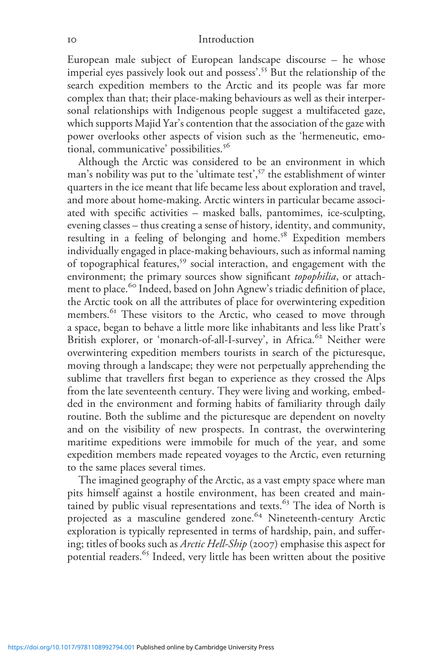European male subject of European landscape discourse – he whose imperial eyes passively look out and possess'. <sup>55</sup> But the relationship of the search expedition members to the Arctic and its people was far more complex than that; their place-making behaviours as well as their interpersonal relationships with Indigenous people suggest a multifaceted gaze, which supports Majid Yar's contention that the association of the gaze with power overlooks other aspects of vision such as the 'hermeneutic, emotional, communicative' possibilities.<sup>56</sup>

Although the Arctic was considered to be an environment in which man's nobility was put to the 'ultimate test', <sup>57</sup> the establishment of winter quarters in the ice meant that life became less about exploration and travel, and more about home-making. Arctic winters in particular became associated with specific activities – masked balls, pantomimes, ice-sculpting, evening classes – thus creating a sense of history, identity, and community, resulting in a feeling of belonging and home.<sup>58</sup> Expedition members individually engaged in place-making behaviours, such as informal naming of topographical features,<sup>59</sup> social interaction, and engagement with the environment; the primary sources show significant topophilia, or attachment to place.<sup>60</sup> Indeed, based on John Agnew's triadic definition of place, the Arctic took on all the attributes of place for overwintering expedition members.<sup>61</sup> These visitors to the Arctic, who ceased to move through a space, began to behave a little more like inhabitants and less like Pratt's British explorer, or 'monarch-of-all-I-survey', in Africa.<sup>62</sup> Neither were overwintering expedition members tourists in search of the picturesque, moving through a landscape; they were not perpetually apprehending the sublime that travellers first began to experience as they crossed the Alps from the late seventeenth century. They were living and working, embedded in the environment and forming habits of familiarity through daily routine. Both the sublime and the picturesque are dependent on novelty and on the visibility of new prospects. In contrast, the overwintering maritime expeditions were immobile for much of the year, and some expedition members made repeated voyages to the Arctic, even returning to the same places several times.

The imagined geography of the Arctic, as a vast empty space where man pits himself against a hostile environment, has been created and maintained by public visual representations and texts.<sup>63</sup> The idea of North is projected as a masculine gendered zone.<sup>64</sup> Nineteenth-century Arctic exploration is typically represented in terms of hardship, pain, and suffering; titles of books such as Arctic Hell-Ship (2007) emphasise this aspect for potential readers.<sup>65</sup> Indeed, very little has been written about the positive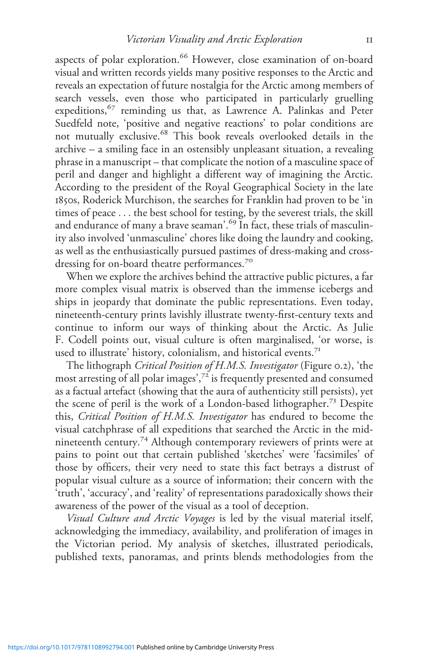aspects of polar exploration.<sup>66</sup> However, close examination of on-board visual and written records yields many positive responses to the Arctic and reveals an expectation of future nostalgia for the Arctic among members of search vessels, even those who participated in particularly gruelling expeditions,<sup>67</sup> reminding us that, as Lawrence A. Palinkas and Peter Suedfeld note, 'positive and negative reactions' to polar conditions are not mutually exclusive.<sup>68</sup> This book reveals overlooked details in the archive – a smiling face in an ostensibly unpleasant situation, a revealing phrase in a manuscript – that complicate the notion of a masculine space of peril and danger and highlight a different way of imagining the Arctic. According to the president of the Royal Geographical Society in the late 1850s, Roderick Murchison, the searches for Franklin had proven to be 'in times of peace ... the best school for testing, by the severest trials, the skill and endurance of many a brave seaman'. <sup>69</sup> In fact, these trials of masculinity also involved 'unmasculine' chores like doing the laundry and cooking, as well as the enthusiastically pursued pastimes of dress-making and crossdressing for on-board theatre performances.<sup>70</sup>

When we explore the archives behind the attractive public pictures, a far more complex visual matrix is observed than the immense icebergs and ships in jeopardy that dominate the public representations. Even today, nineteenth-century prints lavishly illustrate twenty-first-century texts and continue to inform our ways of thinking about the Arctic. As Julie F. Codell points out, visual culture is often marginalised, 'or worse, is used to illustrate' history, colonialism, and historical events.<sup>71</sup>

The lithograph Critical Position of H.M.S. Investigator (Figure 0.2), 'the most arresting of all polar images',<sup>72</sup> is frequently presented and consumed as a factual artefact (showing that the aura of authenticity still persists), yet the scene of peril is the work of a London-based lithographer.<sup>73</sup> Despite this, Critical Position of H.M.S. Investigator has endured to become the visual catchphrase of all expeditions that searched the Arctic in the midnineteenth century.<sup>74</sup> Although contemporary reviewers of prints were at pains to point out that certain published 'sketches' were 'facsimiles' of those by officers, their very need to state this fact betrays a distrust of popular visual culture as a source of information; their concern with the 'truth', 'accuracy', and 'reality' of representations paradoxically shows their awareness of the power of the visual as a tool of deception.

Visual Culture and Arctic Voyages is led by the visual material itself, acknowledging the immediacy, availability, and proliferation of images in the Victorian period. My analysis of sketches, illustrated periodicals, published texts, panoramas, and prints blends methodologies from the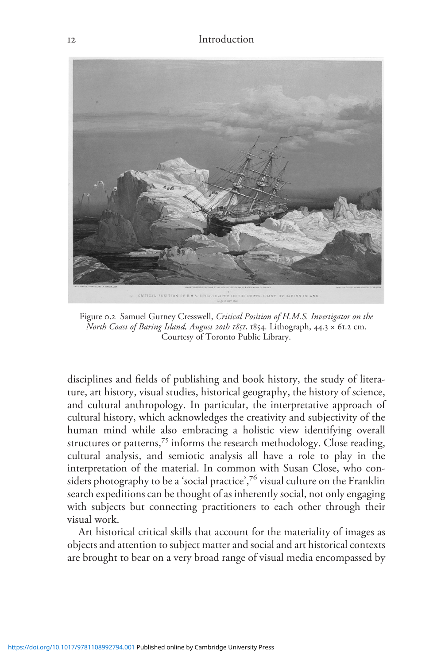

Figure 0.2 Samuel Gurney Cresswell, Critical Position of H.M.S. Investigator on the North Coast of Baring Island, August 20th 1851, 1854. Lithograph, 44.3 × 61.2 cm. Courtesy of Toronto Public Library.

disciplines and fields of publishing and book history, the study of literature, art history, visual studies, historical geography, the history of science, and cultural anthropology. In particular, the interpretative approach of cultural history, which acknowledges the creativity and subjectivity of the human mind while also embracing a holistic view identifying overall structures or patterns,<sup>75</sup> informs the research methodology. Close reading, cultural analysis, and semiotic analysis all have a role to play in the interpretation of the material. In common with Susan Close, who considers photography to be a 'social practice', $^{76}$  visual culture on the Franklin search expeditions can be thought of as inherently social, not only engaging with subjects but connecting practitioners to each other through their visual work.

Art historical critical skills that account for the materiality of images as objects and attention to subject matter and social and art historical contexts are brought to bear on a very broad range of visual media encompassed by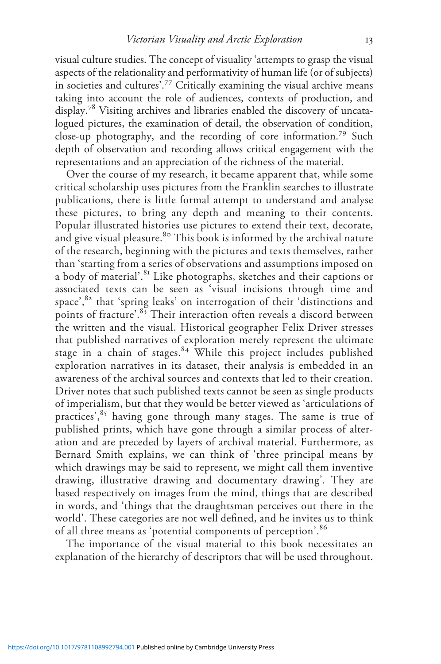visual culture studies. The concept of visuality 'attempts to grasp the visual aspects of the relationality and performativity of human life (or of subjects) in societies and cultures'. <sup>77</sup> Critically examining the visual archive means taking into account the role of audiences, contexts of production, and display.<sup>78</sup> Visiting archives and libraries enabled the discovery of uncatalogued pictures, the examination of detail, the observation of condition, close-up photography, and the recording of core information.<sup>79</sup> Such depth of observation and recording allows critical engagement with the representations and an appreciation of the richness of the material.

Over the course of my research, it became apparent that, while some critical scholarship uses pictures from the Franklin searches to illustrate publications, there is little formal attempt to understand and analyse these pictures, to bring any depth and meaning to their contents. Popular illustrated histories use pictures to extend their text, decorate, and give visual pleasure.<sup>80</sup> This book is informed by the archival nature of the research, beginning with the pictures and texts themselves, rather than 'starting from a series of observations and assumptions imposed on a body of material'.<sup>81</sup> Like photographs, sketches and their captions or associated texts can be seen as 'visual incisions through time and space', <sup>82</sup> that 'spring leaks' on interrogation of their 'distinctions and points of fracture'.<sup>83</sup> Their interaction often reveals a discord between the written and the visual. Historical geographer Felix Driver stresses that published narratives of exploration merely represent the ultimate stage in a chain of stages.<sup>84</sup> While this project includes published exploration narratives in its dataset, their analysis is embedded in an awareness of the archival sources and contexts that led to their creation. Driver notes that such published texts cannot be seen as single products of imperialism, but that they would be better viewed as 'articulations of practices',<sup>85</sup> having gone through many stages. The same is true of published prints, which have gone through a similar process of alteration and are preceded by layers of archival material. Furthermore, as Bernard Smith explains, we can think of 'three principal means by which drawings may be said to represent, we might call them inventive drawing, illustrative drawing and documentary drawing'. They are based respectively on images from the mind, things that are described in words, and 'things that the draughtsman perceives out there in the world'. These categories are not well defined, and he invites us to think of all three means as 'potential components of perception'.<sup>86</sup>

The importance of the visual material to this book necessitates an explanation of the hierarchy of descriptors that will be used throughout.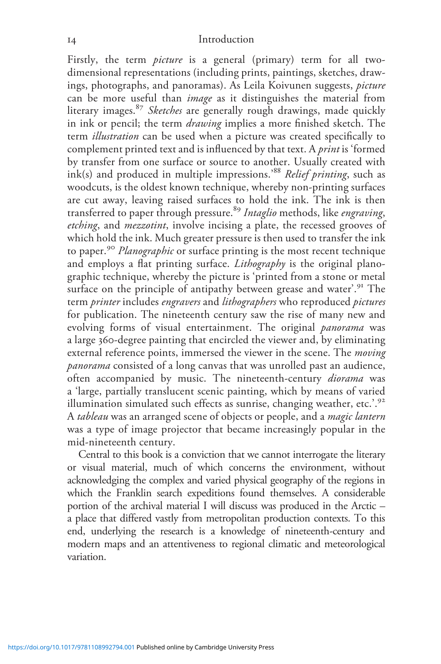Firstly, the term *picture* is a general (primary) term for all twodimensional representations (including prints, paintings, sketches, drawings, photographs, and panoramas). As Leila Koivunen suggests, picture can be more useful than image as it distinguishes the material from literary images.<sup>87</sup> Sketches are generally rough drawings, made quickly in ink or pencil; the term *drawing* implies a more finished sketch. The term *illustration* can be used when a picture was created specifically to complement printed text and is influenced by that text. A print is 'formed by transfer from one surface or source to another. Usually created with ink(s) and produced in multiple impressions.<sup>88</sup> Relief printing, such as woodcuts, is the oldest known technique, whereby non-printing surfaces are cut away, leaving raised surfaces to hold the ink. The ink is then transferred to paper through pressure.<sup>89</sup> Intaglio methods, like engraving, etching, and *mezzotint*, involve incising a plate, the recessed grooves of which hold the ink. Much greater pressure is then used to transfer the ink to paper.<sup>90</sup> Planographic or surface printing is the most recent technique and employs a flat printing surface. *Lithography* is the original planographic technique, whereby the picture is 'printed from a stone or metal surface on the principle of antipathy between grease and water'.<sup>91</sup> The term *printer* includes *engravers* and *lithographers* who reproduced *pictures* for publication. The nineteenth century saw the rise of many new and evolving forms of visual entertainment. The original *panorama* was a large 360-degree painting that encircled the viewer and, by eliminating external reference points, immersed the viewer in the scene. The *moving* panorama consisted of a long canvas that was unrolled past an audience, often accompanied by music. The nineteenth-century *diorama* was a 'large, partially translucent scenic painting, which by means of varied illumination simulated such effects as sunrise, changing weather, etc.'.<sup>92</sup> A tableau was an arranged scene of objects or people, and a magic lantern was a type of image projector that became increasingly popular in the mid-nineteenth century.

Central to this book is a conviction that we cannot interrogate the literary or visual material, much of which concerns the environment, without acknowledging the complex and varied physical geography of the regions in which the Franklin search expeditions found themselves. A considerable portion of the archival material I will discuss was produced in the Arctic – a place that differed vastly from metropolitan production contexts. To this end, underlying the research is a knowledge of nineteenth-century and modern maps and an attentiveness to regional climatic and meteorological variation.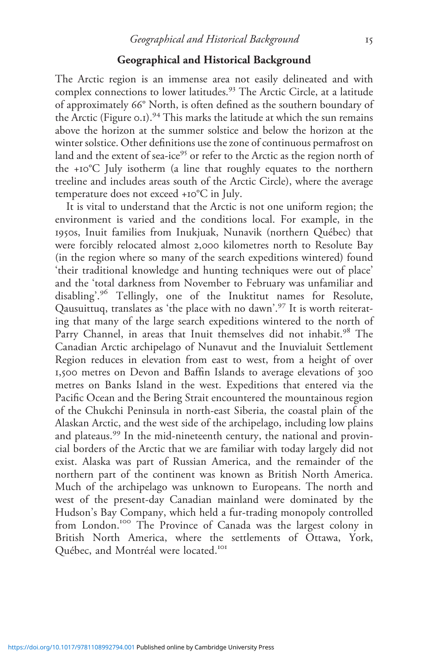### Geographical and Historical Background

The Arctic region is an immense area not easily delineated and with complex connections to lower latitudes.<sup>93</sup> The Arctic Circle, at a latitude of approximately 66° North, is often defined as the southern boundary of the Arctic (Figure 0.1).<sup>94</sup> This marks the latitude at which the sun remains above the horizon at the summer solstice and below the horizon at the winter solstice. Other definitions use the zone of continuous permafrost on land and the extent of sea-ice<sup>95</sup> or refer to the Arctic as the region north of the +10°C July isotherm (a line that roughly equates to the northern treeline and includes areas south of the Arctic Circle), where the average temperature does not exceed +10°C in July.

It is vital to understand that the Arctic is not one uniform region; the environment is varied and the conditions local. For example, in the 1950s, Inuit families from Inukjuak, Nunavik (northern Québec) that were forcibly relocated almost 2,000 kilometres north to Resolute Bay (in the region where so many of the search expeditions wintered) found 'their traditional knowledge and hunting techniques were out of place' and the 'total darkness from November to February was unfamiliar and disabling'. <sup>96</sup> Tellingly, one of the Inuktitut names for Resolute, Qausuittuq, translates as 'the place with no dawn'. <sup>97</sup> It is worth reiterating that many of the large search expeditions wintered to the north of Parry Channel, in areas that Inuit themselves did not inhabit.<sup>98</sup> The Canadian Arctic archipelago of Nunavut and the Inuvialuit Settlement Region reduces in elevation from east to west, from a height of over 1,500 metres on Devon and Baffin Islands to average elevations of 300 metres on Banks Island in the west. Expeditions that entered via the Pacific Ocean and the Bering Strait encountered the mountainous region of the Chukchi Peninsula in north-east Siberia, the coastal plain of the Alaskan Arctic, and the west side of the archipelago, including low plains and plateaus.<sup>99</sup> In the mid-nineteenth century, the national and provincial borders of the Arctic that we are familiar with today largely did not exist. Alaska was part of Russian America, and the remainder of the northern part of the continent was known as British North America. Much of the archipelago was unknown to Europeans. The north and west of the present-day Canadian mainland were dominated by the Hudson's Bay Company, which held a fur-trading monopoly controlled from London.<sup>100</sup> The Province of Canada was the largest colony in British North America, where the settlements of Ottawa, York, Québec, and Montréal were located.<sup>101</sup>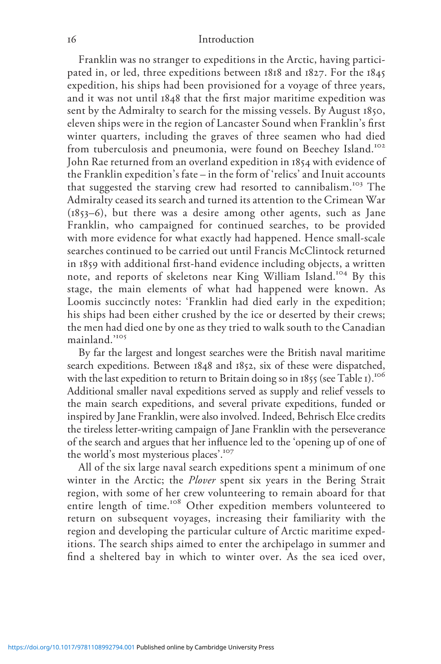Franklin was no stranger to expeditions in the Arctic, having participated in, or led, three expeditions between 1818 and 1827. For the 1845 expedition, his ships had been provisioned for a voyage of three years, and it was not until 1848 that the first major maritime expedition was sent by the Admiralty to search for the missing vessels. By August 1850, eleven ships were in the region of Lancaster Sound when Franklin's first winter quarters, including the graves of three seamen who had died from tuberculosis and pneumonia, were found on Beechey Island.<sup>102</sup> John Rae returned from an overland expedition in 1854 with evidence of the Franklin expedition's fate – in the form of 'relics' and Inuit accounts that suggested the starving crew had resorted to cannibalism.<sup>103</sup> The Admiralty ceased its search and turned its attention to the Crimean War (1853–6), but there was a desire among other agents, such as Jane Franklin, who campaigned for continued searches, to be provided with more evidence for what exactly had happened. Hence small-scale searches continued to be carried out until Francis McClintock returned in 1859 with additional first-hand evidence including objects, a written note, and reports of skeletons near King William Island.<sup>104</sup> By this stage, the main elements of what had happened were known. As Loomis succinctly notes: 'Franklin had died early in the expedition; his ships had been either crushed by the ice or deserted by their crews; the men had died one by one as they tried to walk south to the Canadian mainland.' 105

By far the largest and longest searches were the British naval maritime search expeditions. Between 1848 and 1852, six of these were dispatched, with the last expedition to return to Britain doing so in 1855 (see Table 1).<sup>106</sup> Additional smaller naval expeditions served as supply and relief vessels to the main search expeditions, and several private expeditions, funded or inspired by Jane Franklin, were also involved. Indeed, Behrisch Elce credits the tireless letter-writing campaign of Jane Franklin with the perseverance of the search and argues that her influence led to the 'opening up of one of the world's most mysterious places'.<sup>107</sup>

All of the six large naval search expeditions spent a minimum of one winter in the Arctic; the Plover spent six years in the Bering Strait region, with some of her crew volunteering to remain aboard for that entire length of time.<sup>108</sup> Other expedition members volunteered to return on subsequent voyages, increasing their familiarity with the region and developing the particular culture of Arctic maritime expeditions. The search ships aimed to enter the archipelago in summer and find a sheltered bay in which to winter over. As the sea iced over,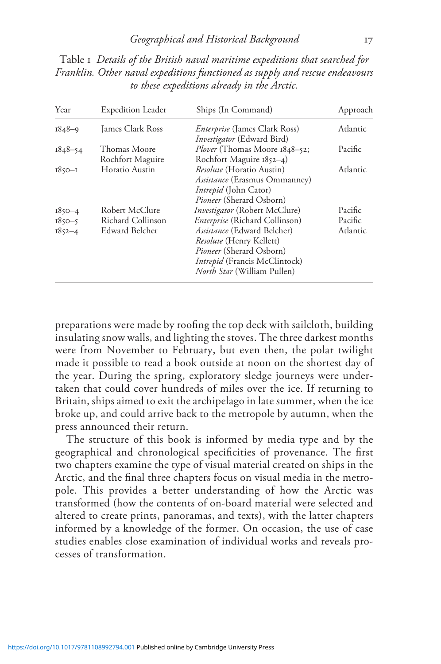| Year        | <b>Expedition Leader</b>         | Ships (In Command)                                                                                                                                                                     | Approach |
|-------------|----------------------------------|----------------------------------------------------------------------------------------------------------------------------------------------------------------------------------------|----------|
| 1848-9      | James Clark Ross                 | <i>Enterprise</i> (James Clark Ross)                                                                                                                                                   | Atlantic |
| $1848 - 54$ | Thomas Moore<br>Rochfort Maguire | <i>Investigator</i> (Edward Bird)<br><i>Plover</i> (Thomas Moore 1848–52;<br>Rochfort Maguire 1852-4)                                                                                  | Pacific  |
| $1850 - 1$  | Horatio Austin                   | <i>Resolute</i> (Horatio Austin)<br>Assistance (Erasmus Ommanney)<br><i>Intrepid</i> (John Cator)<br><i>Pioneer</i> (Sherard Osborn)                                                   | Atlantic |
| $1850 - 4$  | Robert McClure                   | Investigator (Robert McClure)                                                                                                                                                          | Pacific  |
| $1850 - 5$  | Richard Collinson                | Enterprise (Richard Collinson)                                                                                                                                                         | Pacific  |
| $1852 - 4$  | Edward Belcher                   | <i>Assistance</i> (Edward Belcher)<br><i>Resolute</i> (Henry Kellett)<br><i>Pioneer</i> (Sherard Osborn)<br><i>Intrepid</i> (Francis McClintock)<br><i>North Star</i> (William Pullen) | Atlantic |

Table 1 Details of the British naval maritime expeditions that searched for Franklin. Other naval expeditions functioned as supply and rescue endeavours to these expeditions already in the Arctic.

preparations were made by roofing the top deck with sailcloth, building insulating snow walls, and lighting the stoves. The three darkest months were from November to February, but even then, the polar twilight made it possible to read a book outside at noon on the shortest day of the year. During the spring, exploratory sledge journeys were undertaken that could cover hundreds of miles over the ice. If returning to Britain, ships aimed to exit the archipelago in late summer, when the ice broke up, and could arrive back to the metropole by autumn, when the press announced their return.

The structure of this book is informed by media type and by the geographical and chronological specificities of provenance. The first two chapters examine the type of visual material created on ships in the Arctic, and the final three chapters focus on visual media in the metropole. This provides a better understanding of how the Arctic was transformed (how the contents of on-board material were selected and altered to create prints, panoramas, and texts), with the latter chapters informed by a knowledge of the former. On occasion, the use of case studies enables close examination of individual works and reveals processes of transformation.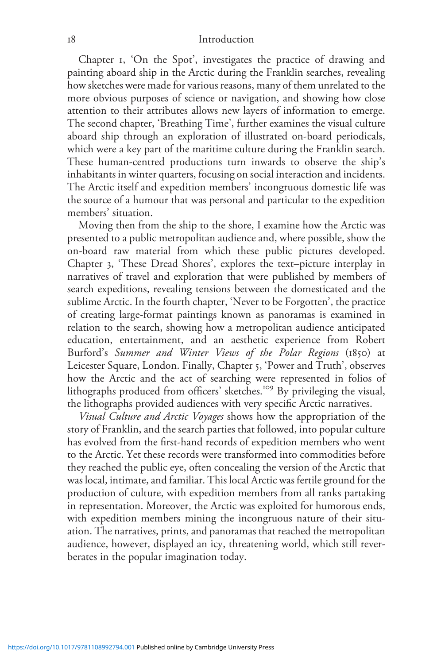Chapter 1, 'On the Spot', investigates the practice of drawing and painting aboard ship in the Arctic during the Franklin searches, revealing how sketches were made for various reasons, many of them unrelated to the more obvious purposes of science or navigation, and showing how close attention to their attributes allows new layers of information to emerge. The second chapter, 'Breathing Time', further examines the visual culture aboard ship through an exploration of illustrated on-board periodicals, which were a key part of the maritime culture during the Franklin search. These human-centred productions turn inwards to observe the ship's inhabitants in winter quarters, focusing on social interaction and incidents. The Arctic itself and expedition members' incongruous domestic life was the source of a humour that was personal and particular to the expedition members' situation.

Moving then from the ship to the shore, I examine how the Arctic was presented to a public metropolitan audience and, where possible, show the on-board raw material from which these public pictures developed. Chapter 3, 'These Dread Shores', explores the text–picture interplay in narratives of travel and exploration that were published by members of search expeditions, revealing tensions between the domesticated and the sublime Arctic. In the fourth chapter, 'Never to be Forgotten', the practice of creating large-format paintings known as panoramas is examined in relation to the search, showing how a metropolitan audience anticipated education, entertainment, and an aesthetic experience from Robert Burford's Summer and Winter Views of the Polar Regions (1850) at Leicester Square, London. Finally, Chapter 5, 'Power and Truth', observes how the Arctic and the act of searching were represented in folios of lithographs produced from officers' sketches.<sup>109</sup> By privileging the visual, the lithographs provided audiences with very specific Arctic narratives.

Visual Culture and Arctic Voyages shows how the appropriation of the story of Franklin, and the search parties that followed, into popular culture has evolved from the first-hand records of expedition members who went to the Arctic. Yet these records were transformed into commodities before they reached the public eye, often concealing the version of the Arctic that was local, intimate, and familiar. This local Arctic was fertile ground for the production of culture, with expedition members from all ranks partaking in representation. Moreover, the Arctic was exploited for humorous ends, with expedition members mining the incongruous nature of their situation. The narratives, prints, and panoramas that reached the metropolitan audience, however, displayed an icy, threatening world, which still reverberates in the popular imagination today.